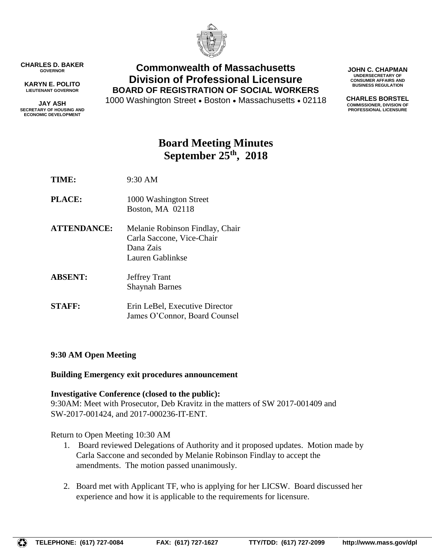

**CHARLES D. BAKER GOVERNOR**

**KARYN E. POLITO LIEUTENANT GOVERNOR**

**JAY ASH SECRETARY OF HOUSING AND ECONOMIC DEVELOPMENT**

**Commonwealth of Massachusetts Division of Professional Licensure BOARD OF REGISTRATION OF SOCIAL WORKERS**

1000 Washington Street • Boston • Massachusetts • 02118

**JOHN C. CHAPMAN UNDERSECRETARY OF CONSUMER AFFAIRS AND BUSINESS REGULATION**

**CHARLES BORSTEL COMMISSIONER, DIVISION OF PROFESSIONAL LICENSURE**

# **Board Meeting Minutes September 25th , 2018**

**TIME:** 9:30 AM

- **PLACE:** 1000 Washington Street Boston, MA 02118
- **ATTENDANCE:** Melanie Robinson Findlay, Chair Carla Saccone, Vice-Chair Dana Zais Lauren Gablinkse
- **ABSENT:** Jeffrey Trant Shaynah Barnes
- **STAFF:** Erin LeBel, Executive Director James O'Connor, Board Counsel

# **9:30 AM Open Meeting**

# **Building Emergency exit procedures announcement**

# **Investigative Conference (closed to the public):**

9:30AM: Meet with Prosecutor, Deb Kravitz in the matters of SW 2017-001409 and SW-2017-001424, and 2017-000236-IT-ENT.

Return to Open Meeting 10:30 AM

- 1. Board reviewed Delegations of Authority and it proposed updates. Motion made by Carla Saccone and seconded by Melanie Robinson Findlay to accept the amendments. The motion passed unanimously.
- 2. Board met with Applicant TF, who is applying for her LICSW. Board discussed her experience and how it is applicable to the requirements for licensure.

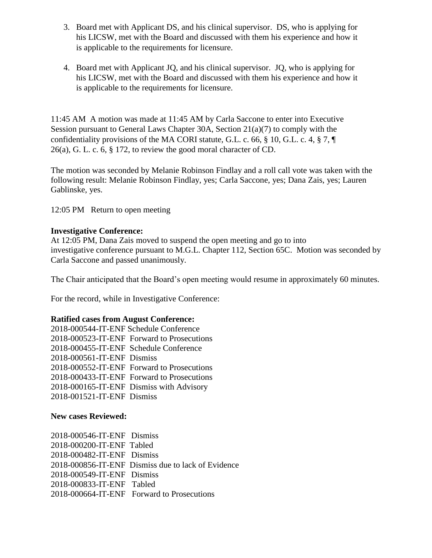- 3. Board met with Applicant DS, and his clinical supervisor. DS, who is applying for his LICSW, met with the Board and discussed with them his experience and how it is applicable to the requirements for licensure.
- 4. Board met with Applicant JQ, and his clinical supervisor. JQ, who is applying for his LICSW, met with the Board and discussed with them his experience and how it is applicable to the requirements for licensure.

11:45 AM A motion was made at 11:45 AM by Carla Saccone to enter into Executive Session pursuant to General Laws Chapter 30A, Section 21(a)(7) to comply with the confidentiality provisions of the MA CORI statute, G.L. c. 66, § 10, G.L. c. 4, § 7, ¶ 26(a), G. L. c. 6, § 172, to review the good moral character of CD.

The motion was seconded by Melanie Robinson Findlay and a roll call vote was taken with the following result: Melanie Robinson Findlay, yes; Carla Saccone, yes; Dana Zais, yes; Lauren Gablinske, yes.

12:05 PM Return to open meeting

### **Investigative Conference:**

At 12:05 PM, Dana Zais moved to suspend the open meeting and go to into investigative conference pursuant to M.G.L. Chapter 112, Section 65C. Motion was seconded by Carla Saccone and passed unanimously.

The Chair anticipated that the Board's open meeting would resume in approximately 60 minutes.

For the record, while in Investigative Conference:

#### **Ratified cases from August Conference:**

| 2018-000544-IT-ENF Schedule Conference     |  |
|--------------------------------------------|--|
| 2018-000523-IT-ENF Forward to Prosecutions |  |
| 2018-000455-IT-ENF Schedule Conference     |  |
| 2018-000561-IT-ENF Dismiss                 |  |
| 2018-000552-IT-ENF Forward to Prosecutions |  |
| 2018-000433-IT-ENF Forward to Prosecutions |  |
| 2018-000165-IT-ENF Dismiss with Advisory   |  |
| 2018-001521-IT-ENF Dismiss                 |  |
|                                            |  |

#### **New cases Reviewed:**

| 2018-000546-IT-ENF Dismiss |                                                    |
|----------------------------|----------------------------------------------------|
| 2018-000200-IT-ENF Tabled  |                                                    |
| 2018-000482-IT-ENF Dismiss |                                                    |
|                            | 2018-000856-IT-ENF Dismiss due to lack of Evidence |
| 2018-000549-IT-ENF Dismiss |                                                    |
| 2018-000833-IT-ENF Tabled  |                                                    |
|                            | 2018-000664-IT-ENF Forward to Prosecutions         |